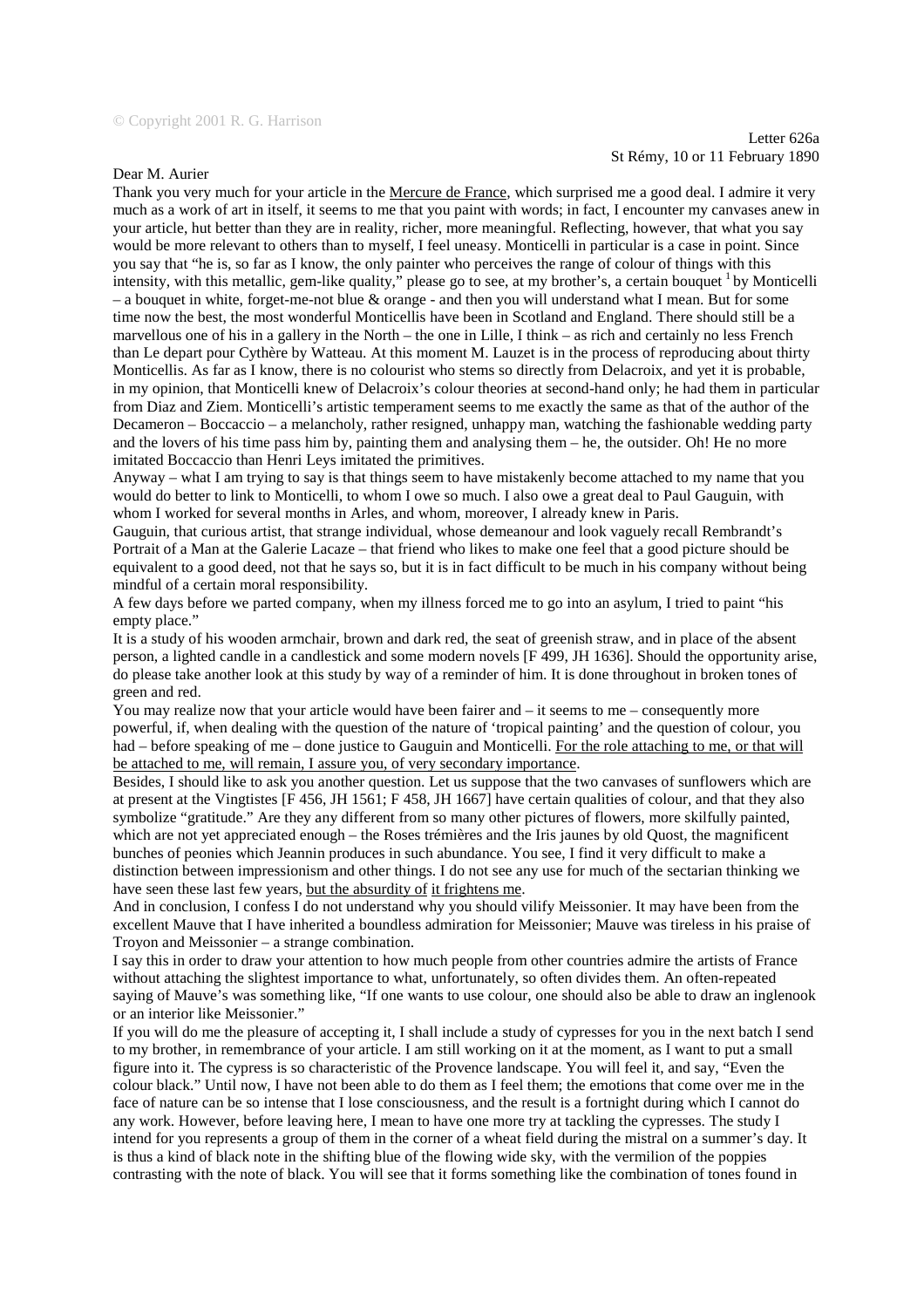## Dear M. Aurier

Thank you very much for your article in the Mercure de France, which surprised me a good deal. I admire it very much as a work of art in itself, it seems to me that you paint with words; in fact, I encounter my canvases anew in your article, hut better than they are in reality, richer, more meaningful. Reflecting, however, that what you say would be more relevant to others than to myself, I feel uneasy. Monticelli in particular is a case in point. Since you say that "he is, so far as I know, the only painter who perceives the range of colour of things with this intensity, with this metallic, gem-like quality," please go to see, at my brother's, a certain bouquet  $\frac{1}{2}$  by Monticelli – a bouquet in white, forget-me-not blue & orange - and then you will understand what I mean. But for some time now the best, the most wonderful Monticellis have been in Scotland and England. There should still be a marvellous one of his in a gallery in the North – the one in Lille, I think – as rich and certainly no less French than Le depart pour Cythère by Watteau. At this moment M. Lauzet is in the process of reproducing about thirty Monticellis. As far as I know, there is no colourist who stems so directly from Delacroix, and yet it is probable, in my opinion, that Monticelli knew of Delacroix's colour theories at second-hand only; he had them in particular from Diaz and Ziem. Monticelli's artistic temperament seems to me exactly the same as that of the author of the Decameron – Boccaccio – a melancholy, rather resigned, unhappy man, watching the fashionable wedding party and the lovers of his time pass him by, painting them and analysing them – he, the outsider. Oh! He no more imitated Boccaccio than Henri Leys imitated the primitives.

Anyway – what I am trying to say is that things seem to have mistakenly become attached to my name that you would do better to link to Monticelli, to whom I owe so much. I also owe a great deal to Paul Gauguin, with whom I worked for several months in Arles, and whom, moreover, I already knew in Paris.

Gauguin, that curious artist, that strange individual, whose demeanour and look vaguely recall Rembrandt's Portrait of a Man at the Galerie Lacaze – that friend who likes to make one feel that a good picture should be equivalent to a good deed, not that he says so, but it is in fact difficult to be much in his company without being mindful of a certain moral responsibility.

A few days before we parted company, when my illness forced me to go into an asylum, I tried to paint "his empty place."

It is a study of his wooden armchair, brown and dark red, the seat of greenish straw, and in place of the absent person, a lighted candle in a candlestick and some modern novels [F 499, JH 1636]. Should the opportunity arise, do please take another look at this study by way of a reminder of him. It is done throughout in broken tones of green and red.

You may realize now that your article would have been fairer and – it seems to me – consequently more powerful, if, when dealing with the question of the nature of 'tropical painting' and the question of colour, you had – before speaking of me – done justice to Gauguin and Monticelli. For the role attaching to me, or that will be attached to me, will remain, I assure you, of very secondary importance.

Besides, I should like to ask you another question. Let us suppose that the two canvases of sunflowers which are at present at the Vingtistes [F 456, JH 1561; F 458, JH 1667] have certain qualities of colour, and that they also symbolize "gratitude." Are they any different from so many other pictures of flowers, more skilfully painted, which are not yet appreciated enough – the Roses trémières and the Iris jaunes by old Quost, the magnificent bunches of peonies which Jeannin produces in such abundance. You see, I find it very difficult to make a distinction between impressionism and other things. I do not see any use for much of the sectarian thinking we have seen these last few years, but the absurdity of it frightens me.

And in conclusion, I confess I do not understand why you should vilify Meissonier. It may have been from the excellent Mauve that I have inherited a boundless admiration for Meissonier; Mauve was tireless in his praise of Troyon and Meissonier – a strange combination.

I say this in order to draw your attention to how much people from other countries admire the artists of France without attaching the slightest importance to what, unfortunately, so often divides them. An often-repeated saying of Mauve's was something like, "If one wants to use colour, one should also be able to draw an inglenook or an interior like Meissonier."

If you will do me the pleasure of accepting it, I shall include a study of cypresses for you in the next batch I send to my brother, in remembrance of your article. I am still working on it at the moment, as I want to put a small figure into it. The cypress is so characteristic of the Provence landscape. You will feel it, and say, "Even the colour black." Until now, I have not been able to do them as I feel them; the emotions that come over me in the face of nature can be so intense that I lose consciousness, and the result is a fortnight during which I cannot do any work. However, before leaving here, I mean to have one more try at tackling the cypresses. The study I intend for you represents a group of them in the corner of a wheat field during the mistral on a summer's day. It is thus a kind of black note in the shifting blue of the flowing wide sky, with the vermilion of the poppies contrasting with the note of black. You will see that it forms something like the combination of tones found in